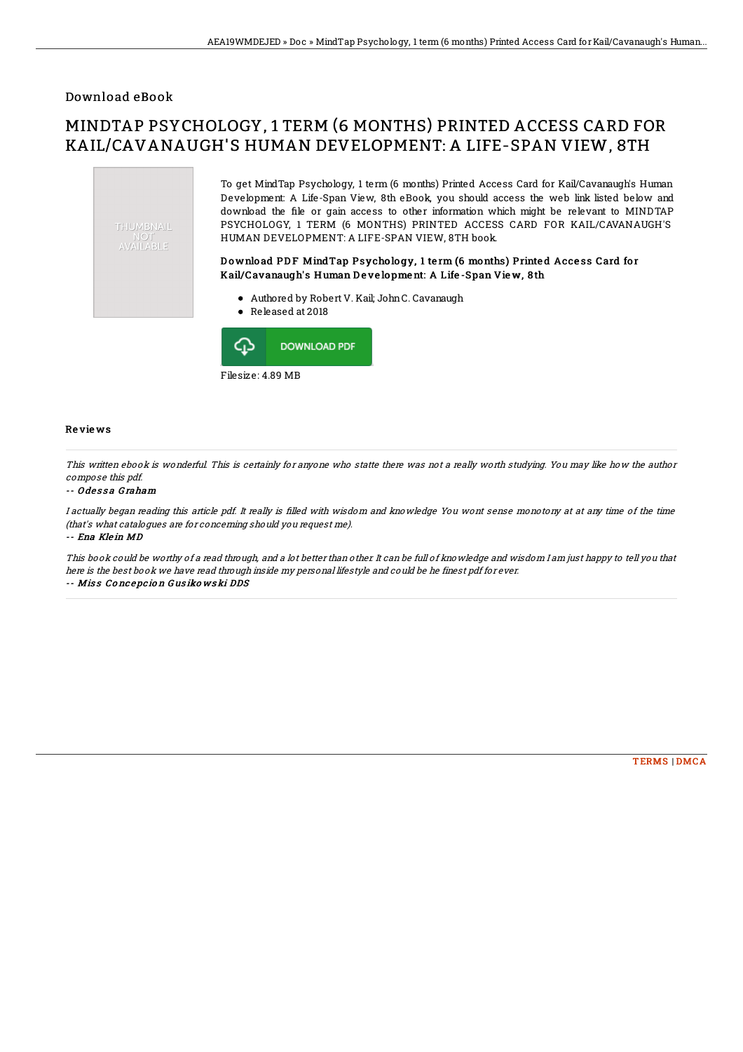### Download eBook

# MINDTAP PSYCHOLOGY, 1 TERM (6 MONTHS) PRINTED ACCESS CARD FOR KAIL/CAVANAUGH'S HUMAN DEVELOPMENT: A LIFE-SPAN VIEW, 8TH





Filesize: 4.89 MB

#### Re vie ws

This written ebook is wonderful. This is certainly for anyone who statte there was not <sup>a</sup> really worth studying. You may like how the author compose this pdf.

#### -- O de s s a G raham

I actually began reading this article pdf. It really is 4lled with wisdom and knowledge You wont sense monotony at at any time of the time (that's what catalogues are for concerning should you request me). -- Ena Kle in MD

This book could be worthy of <sup>a</sup> read through, and <sup>a</sup> lot better than other. It can be full of knowledge and wisdom I am just happy to tell you that here is the best book we have read through inside my personal lifestyle and could be he finest pdf for ever. -- Miss Concepcion Gusikowski DDS